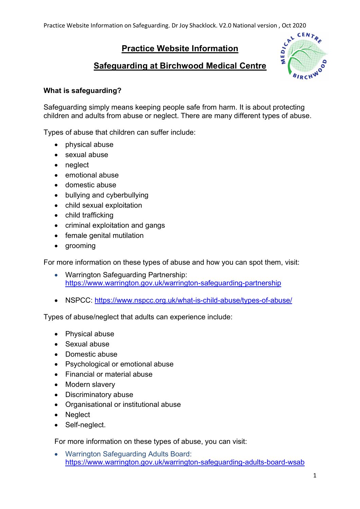# **Practice Website Information**

# **Safeguarding at Birchwood Medical Centre**



### **What is safeguarding?**

Safeguarding simply means keeping people safe from harm. It is about protecting children and adults from abuse or neglect. There are many different types of abuse.

Types of abuse that children can suffer include:

- physical abuse
- sexual abuse
- neglect
- emotional abuse
- domestic abuse
- bullying and cyberbullying
- child sexual exploitation
- child trafficking
- criminal exploitation and gangs
- female genital mutilation
- grooming

For more information on these types of abuse and how you can spot them, visit:

- Warrington Safeguarding Partnership: https://www.warrington.gov.uk/warrington-safeguarding-partnership
- NSPCC: https://www.nspcc.org.uk/what-is-child-abuse/types-of-abuse/

Types of abuse/neglect that adults can experience include:

- Physical abuse
- Sexual abuse
- Domestic abuse
- Psychological or emotional abuse
- Financial or material abuse
- Modern slavery
- Discriminatory abuse
- Organisational or institutional abuse
- Neglect
- Self-neglect.

For more information on these types of abuse, you can visit:

 Warrington Safeguarding Adults Board: https://www.warrington.gov.uk/warrington-safeguarding-adults-board-wsab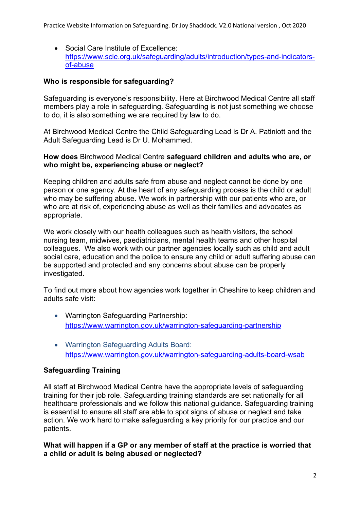Practice Website Information on Safeguarding. Dr Joy Shacklock. V2.0 National version , Oct 2020

• Social Care Institute of Excellence: https://www.scie.org.uk/safeguarding/adults/introduction/types-and-indicatorsof-abuse

### **Who is responsible for safeguarding?**

Safeguarding is everyone's responsibility. Here at Birchwood Medical Centre all staff members play a role in safeguarding. Safeguarding is not just something we choose to do, it is also something we are required by law to do.

At Birchwood Medical Centre the Child Safeguarding Lead is Dr A. Patiniott and the Adult Safeguarding Lead is Dr U. Mohammed.

#### **How does** Birchwood Medical Centre **safeguard children and adults who are, or who might be, experiencing abuse or neglect?**

Keeping children and adults safe from abuse and neglect cannot be done by one person or one agency. At the heart of any safeguarding process is the child or adult who may be suffering abuse. We work in partnership with our patients who are, or who are at risk of, experiencing abuse as well as their families and advocates as appropriate.

We work closely with our health colleagues such as health visitors, the school nursing team, midwives, paediatricians, mental health teams and other hospital colleagues. We also work with our partner agencies locally such as child and adult social care, education and the police to ensure any child or adult suffering abuse can be supported and protected and any concerns about abuse can be properly investigated.

To find out more about how agencies work together in Cheshire to keep children and adults safe visit:

- Warrington Safeguarding Partnership: https://www.warrington.gov.uk/warrington-safeguarding-partnership
- Warrington Safeguarding Adults Board: https://www.warrington.gov.uk/warrington-safeguarding-adults-board-wsab

## **Safeguarding Training**

All staff at Birchwood Medical Centre have the appropriate levels of safeguarding training for their job role. Safeguarding training standards are set nationally for all healthcare professionals and we follow this national guidance. Safeguarding training is essential to ensure all staff are able to spot signs of abuse or neglect and take action. We work hard to make safeguarding a key priority for our practice and our patients.

#### **What will happen if a GP or any member of staff at the practice is worried that a child or adult is being abused or neglected?**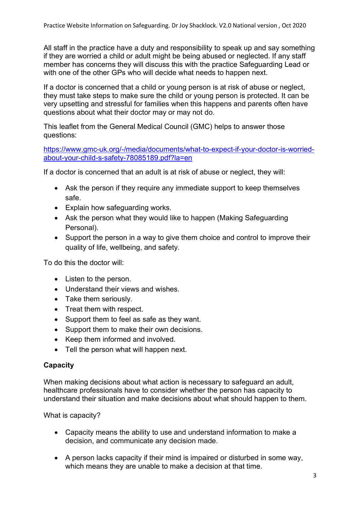All staff in the practice have a duty and responsibility to speak up and say something if they are worried a child or adult might be being abused or neglected. If any staff member has concerns they will discuss this with the practice Safeguarding Lead or with one of the other GPs who will decide what needs to happen next.

If a doctor is concerned that a child or young person is at risk of abuse or neglect, they must take steps to make sure the child or young person is protected. It can be very upsetting and stressful for families when this happens and parents often have questions about what their doctor may or may not do.

This leaflet from the General Medical Council (GMC) helps to answer those questions:

https://www.gmc-uk.org/-/media/documents/what-to-expect-if-your-doctor-is-worriedabout-your-child-s-safety-78085189.pdf?la=en

If a doctor is concerned that an adult is at risk of abuse or neglect, they will:

- Ask the person if they require any immediate support to keep themselves safe.
- Explain how safeguarding works.
- Ask the person what they would like to happen (Making Safeguarding Personal).
- Support the person in a way to give them choice and control to improve their quality of life, wellbeing, and safety.

To do this the doctor will:

- Listen to the person.
- Understand their views and wishes.
- Take them seriously.
- Treat them with respect.
- Support them to feel as safe as they want.
- Support them to make their own decisions.
- Keep them informed and involved.
- Tell the person what will happen next.

#### **Capacity**

When making decisions about what action is necessary to safeguard an adult. healthcare professionals have to consider whether the person has capacity to understand their situation and make decisions about what should happen to them.

What is capacity?

- Capacity means the ability to use and understand information to make a decision, and communicate any decision made.
- A person lacks capacity if their mind is impaired or disturbed in some way, which means they are unable to make a decision at that time.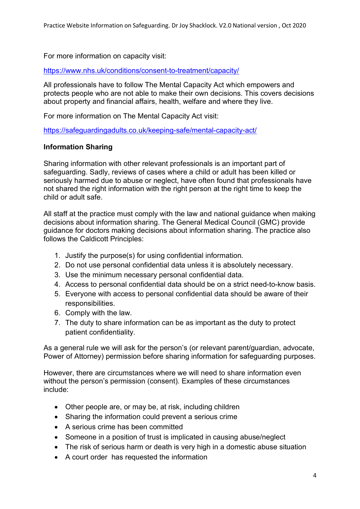For more information on capacity visit:

https://www.nhs.uk/conditions/consent-to-treatment/capacity/

All professionals have to follow The Mental Capacity Act which empowers and protects people who are not able to make their own decisions. This covers decisions about property and financial affairs, health, welfare and where they live.

For more information on The Mental Capacity Act visit:

https://safeguardingadults.co.uk/keeping-safe/mental-capacity-act/

#### **Information Sharing**

Sharing information with other relevant professionals is an important part of safeguarding. Sadly, reviews of cases where a child or adult has been killed or seriously harmed due to abuse or neglect, have often found that professionals have not shared the right information with the right person at the right time to keep the child or adult safe.

All staff at the practice must comply with the law and national guidance when making decisions about information sharing. The General Medical Council (GMC) provide guidance for doctors making decisions about information sharing. The practice also follows the Caldicott Principles:

- 1. Justify the purpose(s) for using confidential information.
- 2. Do not use personal confidential data unless it is absolutely necessary.
- 3. Use the minimum necessary personal confidential data.
- 4. Access to personal confidential data should be on a strict need-to-know basis.
- 5. Everyone with access to personal confidential data should be aware of their responsibilities.
- 6. Comply with the law.
- 7. The duty to share information can be as important as the duty to protect patient confidentiality.

As a general rule we will ask for the person's (or relevant parent/guardian, advocate, Power of Attorney) permission before sharing information for safeguarding purposes.

However, there are circumstances where we will need to share information even without the person's permission (consent). Examples of these circumstances include:

- Other people are, or may be, at risk, including children
- Sharing the information could prevent a serious crime
- A serious crime has been committed
- Someone in a position of trust is implicated in causing abuse/neglect
- The risk of serious harm or death is very high in a domestic abuse situation
- A court order has requested the information